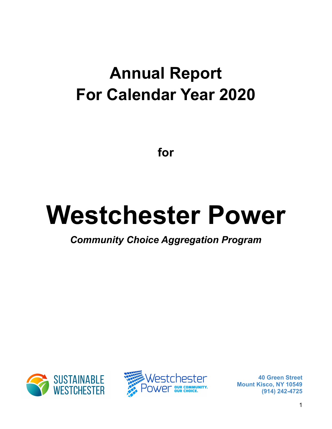# **Annual Report For Calendar Year 2020**

**for**

# **Westchester Power**

*Community Choice Aggregation Program*



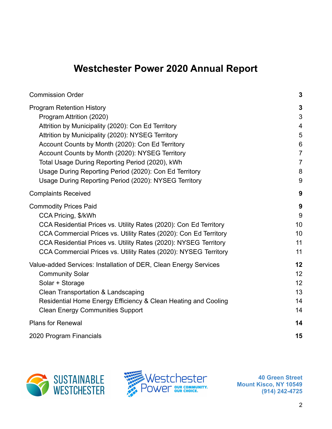# **Westchester Power 2020 Annual Report**

| <b>Commission Order</b>                                                                                                                                                                                                                                                                                                                                                                                                                              | $\mathbf{3}$                                                                                             |
|------------------------------------------------------------------------------------------------------------------------------------------------------------------------------------------------------------------------------------------------------------------------------------------------------------------------------------------------------------------------------------------------------------------------------------------------------|----------------------------------------------------------------------------------------------------------|
| <b>Program Retention History</b><br>Program Attrition (2020)<br>Attrition by Municipality (2020): Con Ed Territory<br>Attrition by Municipality (2020): NYSEG Territory<br>Account Counts by Month (2020): Con Ed Territory<br>Account Counts by Month (2020): NYSEG Territory<br>Total Usage During Reporting Period (2020), kWh<br>Usage During Reporting Period (2020): Con Ed Territory<br>Usage During Reporting Period (2020): NYSEG Territory | $\mathbf{3}$<br>3<br>$\overline{4}$<br>5<br>$6\phantom{1}$<br>$\overline{7}$<br>$\overline{7}$<br>8<br>9 |
| <b>Complaints Received</b>                                                                                                                                                                                                                                                                                                                                                                                                                           | 9                                                                                                        |
| <b>Commodity Prices Paid</b><br>CCA Pricing, \$/kWh<br>CCA Residential Prices vs. Utility Rates (2020): Con Ed Territory<br>CCA Commercial Prices vs. Utility Rates (2020): Con Ed Territory<br>CCA Residential Prices vs. Utility Rates (2020): NYSEG Territory<br>CCA Commercial Prices vs. Utility Rates (2020): NYSEG Territory                                                                                                                  | 9<br>9<br>10<br>10<br>11<br>11                                                                           |
| Value-added Services: Installation of DER, Clean Energy Services<br><b>Community Solar</b><br>Solar + Storage<br>Clean Transportation & Landscaping<br>Residential Home Energy Efficiency & Clean Heating and Cooling<br><b>Clean Energy Communities Support</b>                                                                                                                                                                                     | 12<br>12<br>12<br>13<br>14<br>14                                                                         |
| <b>Plans for Renewal</b>                                                                                                                                                                                                                                                                                                                                                                                                                             | 14                                                                                                       |
| 2020 Program Financials                                                                                                                                                                                                                                                                                                                                                                                                                              | 15                                                                                                       |



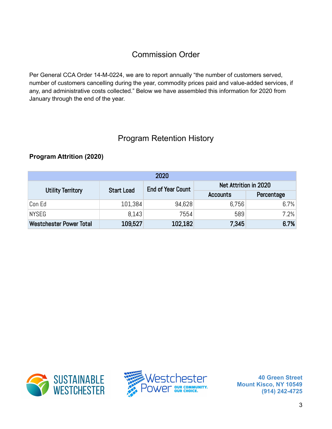# Commission Order

<span id="page-2-0"></span>Per General CCA Order 14-M-0224, we are to report annually "the number of customers served, number of customers cancelling during the year, commodity prices paid and value-added services, if any, and administrative costs collected." Below we have assembled this information for 2020 from January through the end of the year.

# Program Retention History

#### <span id="page-2-2"></span><span id="page-2-1"></span>**Program Attrition (2020)**

| 2020                           |                   |                          |                       |            |  |  |
|--------------------------------|-------------------|--------------------------|-----------------------|------------|--|--|
|                                | <b>Start Load</b> | <b>End of Year Count</b> | Net Attrition in 2020 |            |  |  |
| <b>Utility Territory</b>       |                   |                          | <b>Accounts</b>       | Percentage |  |  |
| Con Ed                         | 101,384           | 94,628                   | 6,756                 | 6.7%       |  |  |
| NYSEG                          | 8.143             | 7554                     | 589                   | 7.2%       |  |  |
| <b>Westchester Power Total</b> | 109,527           | 102,182                  | 7,345                 | 6.7%       |  |  |



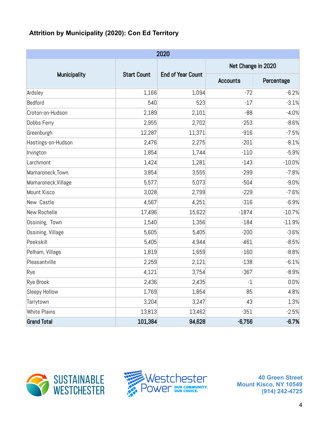#### <span id="page-3-0"></span>**Attrition by Municipality (2020): Con Ed Territory**

| 2020                |                                                                       |        |                    |            |  |  |  |  |
|---------------------|-----------------------------------------------------------------------|--------|--------------------|------------|--|--|--|--|
|                     |                                                                       |        | Net Change in 2020 |            |  |  |  |  |
|                     | <b>Municipality</b><br><b>Start Count</b><br><b>End of Year Count</b> |        | <b>Accounts</b>    | Percentage |  |  |  |  |
| Ardsley             | 1,166                                                                 | 1,094  | $-72$              | $-6.2%$    |  |  |  |  |
| Bedford             | 540                                                                   | 523    | $-17$              | $-3.1%$    |  |  |  |  |
| Croton-on-Hudson    | 2,189                                                                 | 2,101  | $-88$              | $-4.0%$    |  |  |  |  |
| Dobbs Ferry         | 2,955                                                                 | 2,702  | $-253$             | $-8.6%$    |  |  |  |  |
| Greenburgh          | 12,287                                                                | 11,371 | $-916$             | $-7.5%$    |  |  |  |  |
| Hastings-on-Hudson  | 2,476                                                                 | 2,275  | $-201$             | $-8.1%$    |  |  |  |  |
| Irvington           | 1,854                                                                 | 1,744  | $-110$             | $-5.9%$    |  |  |  |  |
| Larchmont           | 1,424                                                                 | 1,281  | $-143$             | $-10.0%$   |  |  |  |  |
| Mamaroneck, Town    | 3,854                                                                 | 3,555  | $-299$             | $-7.8%$    |  |  |  |  |
| Mamaroneck, Village | 5,577                                                                 | 5,073  | $-504$             | $-9.0%$    |  |  |  |  |
| Mount Kisco         | 3,028                                                                 | 2,799  | $-229$             | $-7.6%$    |  |  |  |  |
| New Castle          | 4,567                                                                 | 4,251  | $-316$             | $-6.9%$    |  |  |  |  |
| New Rochelle        | 17,496                                                                | 15,622 | $-1874$            | $-10.7%$   |  |  |  |  |
| Ossining, Town      | 1,540                                                                 | 1,356  | $-184$             | $-11.9%$   |  |  |  |  |
| Ossining, Village   | 5,605                                                                 | 5,405  | $-200$             | $-3.6%$    |  |  |  |  |
| Peekskill           | 5,405                                                                 | 4,944  | $-461$             | $-8.5%$    |  |  |  |  |
| Pelham, Village     | 1,819                                                                 | 1,659  | $-160$             | $-8.8%$    |  |  |  |  |
| Pleasantville       | 2,259                                                                 | 2,121  | $-138$             | $-6.1%$    |  |  |  |  |
| Rye                 | 4,121                                                                 | 3,754  | $-367$             | $-8.9%$    |  |  |  |  |
| Rye Brook           | 2,436                                                                 | 2,435  | $-1$               | 0.0%       |  |  |  |  |
| Sleepy Hollow       | 1,769                                                                 | 1,854  | 85                 | 4.8%       |  |  |  |  |
| Tarrytown           | 3,204                                                                 | 3,247  | 43                 | 1.3%       |  |  |  |  |
| <b>White Plains</b> | 13,813                                                                | 13,462 | $-351$             | $-2.5%$    |  |  |  |  |
| <b>Grand Total</b>  | 101,384                                                               | 94,628 | $-6,756$           | $-6.7%$    |  |  |  |  |



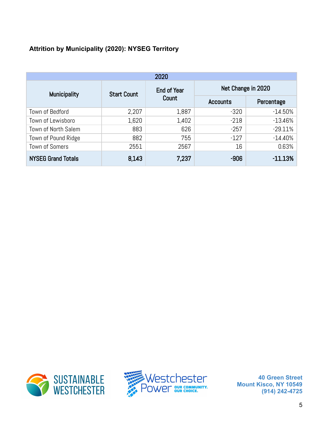#### <span id="page-4-0"></span>**Attrition by Municipality (2020): NYSEG Territory**

| 2020                      |                    |             |                    |            |  |  |  |
|---------------------------|--------------------|-------------|--------------------|------------|--|--|--|
| <b>Municipality</b>       | <b>Start Count</b> | End of Year | Net Change in 2020 |            |  |  |  |
|                           |                    | Count       | <b>Accounts</b>    | Percentage |  |  |  |
| Town of Bedford           | 2,207              | 1,887       | $-320$             | $-14.50\%$ |  |  |  |
| Town of Lewisboro         | 1,620              | 1,402       | $-218$             | $-13.46%$  |  |  |  |
| Town of North Salem       | 883                | 626         | $-257$             | $-29.11%$  |  |  |  |
| Town of Pound Ridge       | 882                | 755         | $-127$             | $-14.40%$  |  |  |  |
| <b>Town of Somers</b>     | 2551               | 2567        | 16                 | 0.63%      |  |  |  |
| <b>NYSEG Grand Totals</b> | 8,143              | 7,237       | $-906$             | $-11.13%$  |  |  |  |



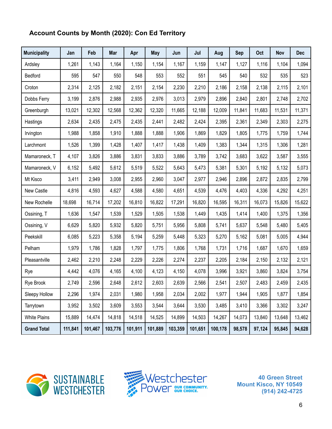#### <span id="page-5-0"></span>**Account Counts by Month (2020): Con Ed Territory**

| <b>Municipality</b> | Jan     | Feb     | Mar     | Apr     | <b>May</b> | Jun     | Jul     | Aug     | <b>Sep</b> | Oct    | Nov    | <b>Dec</b> |
|---------------------|---------|---------|---------|---------|------------|---------|---------|---------|------------|--------|--------|------------|
| Ardsley             | 1,261   | 1,143   | 1,164   | 1,150   | 1,154      | 1,167   | 1,159   | 1,147   | 1,127      | 1,116  | 1,104  | 1,094      |
| Bedford             | 595     | 547     | 550     | 548     | 553        | 552     | 551     | 545     | 540        | 532    | 535    | 523        |
| Croton              | 2,314   | 2,125   | 2,182   | 2,151   | 2,154      | 2,230   | 2,210   | 2,186   | 2,158      | 2,138  | 2,115  | 2,101      |
| Dobbs Ferry         | 3,199   | 2,876   | 2,988   | 2,935   | 2,976      | 3,013   | 2,979   | 2,896   | 2,840      | 2,801  | 2,748  | 2,702      |
| Greenburgh          | 13,021  | 12,302  | 12,568  | 12,362  | 12,320     | 11,665  | 12,188  | 12,009  | 11,841     | 11,683 | 11,531 | 11,371     |
| Hastings            | 2,634   | 2,435   | 2,475   | 2,435   | 2,441      | 2,482   | 2,424   | 2,395   | 2,361      | 2,349  | 2,303  | 2,275      |
| Irvington           | 1,988   | 1,858   | 1,910   | 1,888   | 1,888      | 1,906   | 1,869   | 1,829   | 1,805      | 1,775  | 1,759  | 1,744      |
| Larchmont           | 1,526   | 1,399   | 1,428   | 1,407   | 1,417      | 1,438   | 1,409   | 1,383   | 1,344      | 1,315  | 1,306  | 1,281      |
| Mamaroneck, T       | 4,107   | 3,826   | 3,886   | 3,831   | 3,833      | 3,886   | 3,789   | 3,742   | 3,683      | 3,622  | 3,587  | 3,555      |
| Mamaroneck, V       | 6,152   | 5,492   | 5,612   | 5,519   | 5,522      | 5,643   | 5,473   | 5,381   | 5,301      | 5,192  | 5,132  | 5,073      |
| Mt Kisco            | 3,411   | 2,949   | 3,008   | 2,955   | 2,960      | 3,047   | 2,977   | 2,946   | 2,896      | 2,872  | 2,835  | 2,799      |
| New Castle          | 4,816   | 4,593   | 4,627   | 4,588   | 4,580      | 4,651   | 4,539   | 4,476   | 4,403      | 4,336  | 4,292  | 4,251      |
| New Rochelle        | 18,698  | 16,714  | 17,202  | 16,810  | 16,822     | 17,291  | 16,820  | 16,595  | 16,311     | 16,073 | 15,826 | 15,622     |
| Ossining, T         | 1,636   | 1,547   | 1,539   | 1,529   | 1,505      | 1,538   | 1,449   | 1,435   | 1,414      | 1,400  | 1,375  | 1,356      |
| Ossining, V         | 6,629   | 5,820   | 5,932   | 5,820   | 5,751      | 5,956   | 5,808   | 5,741   | 5,637      | 5,548  | 5,480  | 5,405      |
| Peekskill           | 6,085   | 5,223   | 5,358   | 5,194   | 5,259      | 5,448   | 5,323   | 5,270   | 5,162      | 5,081  | 5,005  | 4,944      |
| Pelham              | 1,979   | 1,786   | 1,828   | 1,797   | 1,775      | 1,806   | 1,768   | 1,731   | 1,716      | 1,687  | 1,670  | 1,659      |
| Pleasantville       | 2,462   | 2,210   | 2,248   | 2,229   | 2,226      | 2,274   | 2,237   | 2,205   | 2,184      | 2,150  | 2,132  | 2,121      |
| Rye                 | 4,442   | 4,076   | 4,165   | 4,100   | 4,123      | 4,150   | 4,078   | 3,996   | 3,921      | 3,860  | 3,824  | 3,754      |
| Rye Brook           | 2,749   | 2,596   | 2,648   | 2,612   | 2,603      | 2,639   | 2,566   | 2,541   | 2,507      | 2,483  | 2,459  | 2,435      |
| Sleepy Hollow       | 2,296   | 1,974   | 2,031   | 1,980   | 1,958      | 2,034   | 2,002   | 1,977   | 1,944      | 1,905  | 1,877  | 1,854      |
| Tarrytown           | 3,952   | 3,502   | 3,609   | 3,553   | 3,544      | 3,644   | 3,530   | 3,485   | 3,410      | 3,366  | 3,302  | 3,247      |
| <b>White Plains</b> | 15,889  | 14,474  | 14,818  | 14,518  | 14,525     | 14,899  | 14,503  | 14,267  | 14,073     | 13,840 | 13,648 | 13,462     |
| <b>Grand Total</b>  | 111,841 | 101,467 | 103,776 | 101,911 | 101,889    | 103,359 | 101,651 | 100,178 | 98,578     | 97,124 | 95,845 | 94,628     |



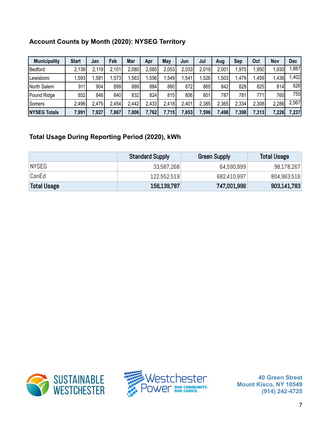#### <span id="page-6-0"></span>**Account Counts by Month (2020): NYSEG Territory**

| <b>Municipality</b> | <b>Start</b> | Jan   | Feb   | Mar   | Apr   | May   | Jun   | Jul   | Aug   | Sep   | Oct   | Nov   | Dec   |
|---------------------|--------------|-------|-------|-------|-------|-------|-------|-------|-------|-------|-------|-------|-------|
| Bedford             | 2,139        | 2,119 | 2,101 | 2,080 | 2,065 | 2,053 | 2,033 | 2,019 | 2,001 | .975  | ,950  | .930  | 887,  |
| Lewisboro           | ,593         | .581  | .573  | .563  | .556  | 549.  | ,541  | 526   | ,503  | ,479  | ,459  | 1,436 | 1,402 |
| North Salem         | 911          | 904   | 899   | 889   | 884   | 880   | 872   | 865   | 842   | 829   | 825   | 814   | 626   |
| <b>Pound Ridge</b>  | 852          | 848   | 840   | 832   | 824   | 815   | 806   | 801   | 787   | 781   | 771   | 760I  | 755   |
| Somers              | 2,496        | 2,475 | 2,454 | .442  | 2,433 | 2,418 | 2,401 | 2,385 | 2,365 | 2,334 | 2,308 | 2,286 | 2,567 |
| <b>NYSEG Totals</b> | 7,991        | 7,927 | 7,867 | ,806  | 7,762 | 7.715 | 7,653 | ,596  | 7,498 | 7,398 | 7,313 | 7,226 | 7,237 |

#### <span id="page-6-1"></span>**Total Usage During Reporting Period (2020), kWh**

|                    | <b>Standard Supply</b> | <b>Green Supply</b> | <b>Total Usage</b> |
|--------------------|------------------------|---------------------|--------------------|
| <b>NYSEG</b>       | 33,587,268             | 64,590,999          | 98,178,267         |
| ConEd              | 122,552,519            | 682,410,997         | 804,963,516        |
| <b>Total Usage</b> | 156,139,787            | 747,001,996         | 903,141,783        |



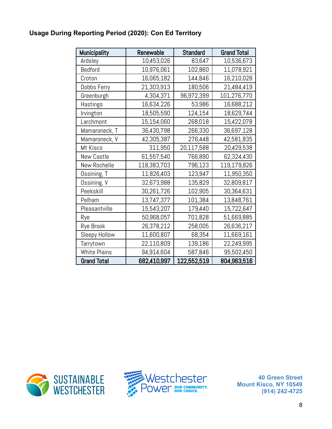#### <span id="page-7-0"></span>**Usage During Reporting Period (2020): Con Ed Territory**

| Municipality        | Renewable   | <b>Standard</b> | <b>Grand Total</b> |
|---------------------|-------------|-----------------|--------------------|
| Ardsley             | 10,453,026  | 83,647          | 10,536,673         |
| Bedford             | 10,976,061  | 102,860         | 11,078,921         |
| Croton              | 16,065,182  | 144,846         | 16,210,028         |
| Dobbs Ferry         | 21,303,913  | 180,506         | 21,484,419         |
| Greenburgh          | 4,304,371   | 96,972,399      | 101,276,770        |
| Hastings            | 16,634,226  | 53,986          | 16,688,212         |
| Irvington           | 18,505,590  | 124,154         | 18,629,744         |
| Larchmont           | 15,154,060  | 268,018         | 15,422,078         |
| Mamaroneck, T       | 36,430,798  | 266,330         | 36,697,128         |
| Mamaroneck, V       | 42,305,387  | 276,448         | 42,581,835         |
| Mt Kisco            | 311,950     | 20,117,588      | 20,429,538         |
| New Castle          | 61,557,540  | 766,890         | 62,324,430         |
| New Rochelle        | 118,383,703 | 796,123         | 119,179,826        |
| Ossining, T         | 11,826,403  | 123,947         | 11,950,350         |
| Ossining, V         | 32,673,988  | 135,829         | 32,809,817         |
| Peekskill           | 30,261,726  | 102,905         | 30,364,631         |
| Pelham              | 13,747,377  | 101,384         | 13,848,761         |
| Pleasantville       | 15,543,207  | 179,440         | 15,722,647         |
| Rye                 | 50,968,057  | 701,828         | 51,669,885         |
| Rye Brook           | 26,378,212  | 258,005         | 26,636,217         |
| Sleepy Hollow       | 11,600,807  | 68,354          | 11,669,161         |
| Tarrytown           | 22,110,809  | 139,186         | 22,249,995         |
| <b>White Plains</b> | 94,914,604  | 587,846         | 95,502,450         |
| <b>Grand Total</b>  | 682,410,997 | 122,552,519     | 804,963,516        |



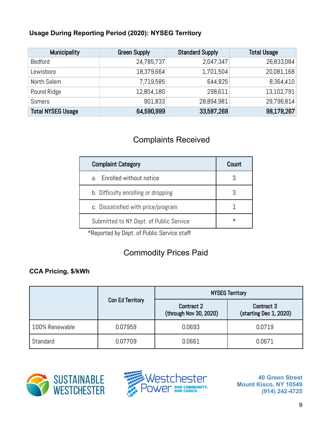#### <span id="page-8-0"></span>**Usage During Reporting Period (2020): NYSEG Territory**

| <b>Municipality</b>      | <b>Green Supply</b> | <b>Standard Supply</b> | <b>Total Usage</b> |
|--------------------------|---------------------|------------------------|--------------------|
| Bedford                  | 24,785,737          | 2,047,347              | 26,833,084         |
| Lewisboro                | 18,379,664          | 1,701,504              | 20,081,168         |
| North Salem              | 7,719,585           | 644,825                | 8,364,410          |
| Pound Ridge              | 12,804,180          | 298,611                | 13,102,791         |
| <b>Somers</b>            | 901,833             | 28,894,981             | 29,796,814         |
| <b>Total NYSEG Usage</b> | 64,590,999          | 33,587,268             | 98,178,267         |

### Complaints Received

<span id="page-8-1"></span>

| <b>Complaint Category</b>               | Count    |
|-----------------------------------------|----------|
| Enrolled without notice<br>$a_{-}$      |          |
| b. Difficulty enrolling or dropping     |          |
| c. Dissatisfied with price/program      |          |
| Submitted to NY Dept. of Public Service | $^\star$ |

\*Reported by Dept. of Public Service staff

# Commodity Prices Paid

#### <span id="page-8-3"></span><span id="page-8-2"></span>**CCA Pricing, \$/kWh**

|                |                         | <b>NYSEG Territory</b>                      |                                      |  |  |  |
|----------------|-------------------------|---------------------------------------------|--------------------------------------|--|--|--|
|                | <b>Con Ed Territory</b> | <b>Contract 2</b><br>(through Nov 30, 2020) | Contract 3<br>(starting Dec 1, 2020) |  |  |  |
| 100% Renewable | 0.07959                 | 0.0693                                      | 0.0719                               |  |  |  |
| Standard       | 0.07709                 | 0.0661                                      | 0.0671                               |  |  |  |



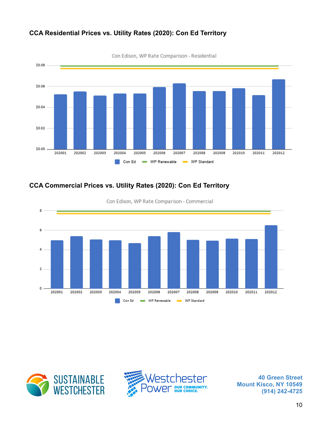

#### <span id="page-9-0"></span>**CCA Residential Prices vs. Utility Rates (2020): Con Ed Territory**

Con Edison, WP Rate Comparison - Residential

#### <span id="page-9-1"></span>**CCA Commercial Prices vs. Utility Rates (2020): Con Ed Territory**



Con Edison, WP Rate Comparison - Commercial



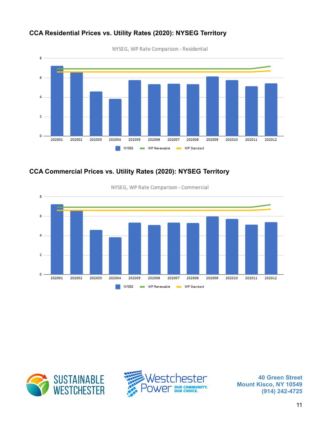

#### <span id="page-10-0"></span>**CCA Residential Prices vs. Utility Rates (2020): NYSEG Territory**

#### <span id="page-10-1"></span>**CCA Commercial Prices vs. Utility Rates (2020): NYSEG Territory**



NYSEG, WP Rate Comparison - Commercial



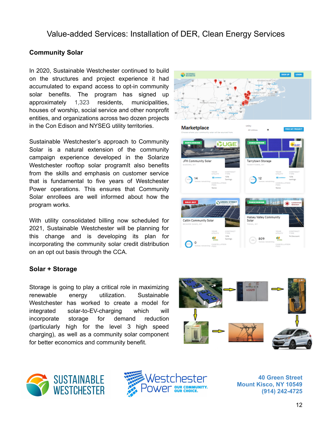**SUSTAINABLE** 

#### <span id="page-11-1"></span><span id="page-11-0"></span>**Community Solar**

In 2020, Sustainable Westchester continued to build on the structures and project experience it had accumulated to expand access to opt-in community solar benefits. The program has signed up approximately 1,323 residents, municipalities, houses of worship, social service and other nonprofit entities, and organizations across two dozen projects in the Con Edison and NYSEG utility territories.

Sustainable Westchester's approach to Community Solar is a natural extension of the community campaign experience developed in the Solarize Westchester rooftop solar programit also benefits from the skills and emphasis on customer service that is fundamental to five years of Westchester Power operations. This ensures that Community Solar enrollees are well informed about how the program works.

With utility consolidated billing now scheduled for 2021, Sustainable Westchester will be planning for this change and is developing its plan for incorporating the community solar credit distribution on an opt out basis through the CCA.

#### <span id="page-11-2"></span>**Solar + Storage**

Storage is going to play a critical role in maximizing renewable energy utilization. Sustainable Westchester has worked to create a model for integrated solar-to-EV-charging which will incorporate storage for demand reduction (particularly high for the level 3 high speed charging), as well as a community solar component for better economics and community benefit.







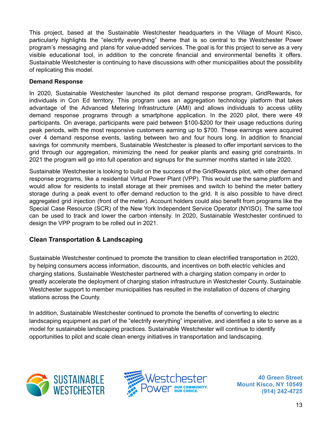This project, based at the Sustainable Westchester headquarters in the Village of Mount Kisco, particularly highlights the "electrify everything" theme that is so central to the Westchester Power program's messaging and plans for value-added services. The goal is for this project to serve as a very visible educational tool, in addition to the concrete financial and environmental benefits it offers. Sustainable Westchester is continuing to have discussions with other municipalities about the possibility of replicating this model.

#### **Demand Response**

In 2020, Sustainable Westchester launched its pilot demand response program, GridRewards, for individuals in Con Ed territory. This program uses an aggregation technology platform that takes advantage of the Advanced Metering Infrastructure (AMI) and allows individuals to access utility demand response programs through a smartphone application. In the 2020 pilot, there were 49 participants. On average, participants were paid between \$100-\$200 for their usage reductions during peak periods, with the most responsive customers earning up to \$700. These earnings were acquired over 4 demand response events, lasting between two and four hours long. In addition to financial savings for community members, Sustainable Westchester is pleased to offer important services to the grid through our aggregation, minimizing the need for peaker plants and easing grid constraints. In 2021 the program will go into full operation and signups for the summer months started in late 2020.

Sustainable Westchester is looking to build on the success of the GridRewards pilot, with other demand response programs, like a residential Virtual Power Plant (VPP). This would use the same platform and would allow for residents to install storage at their premises and switch to behind the meter battery storage during a peak event to offer demand reduction to the grid. It is also possible to have direct aggregated grid injection (front of the meter). Account holders could also benefit from programs like the Special Case Resource (SCR) of the New York Independent Service Operator (NYISO). The same tool can be used to track and lower the carbon intensity. In 2020, Sustainable Westchester continued to design the VPP program to be rolled out in 2021.

#### <span id="page-12-0"></span>**Clean Transportation & Landscaping**

Sustainable Westchester continued to promote the transition to clean electrified transportation in 2020, by helping consumers access information, discounts, and incentives on both electric vehicles and charging stations. Sustainable Westchester partnered with a charging station company in order to greatly accelerate the deployment of charging station infrastructure in Westchester County. Sustainable Westchester support to member municipalities has resulted in the installation of dozens of charging stations across the County.

In addition, Sustainable Westchester continued to promote the benefits of converting to electric landscaping equipment as part of the "electrify everything" imperative, and identified a site to serve as a model for sustainable landscaping practices. Sustainable Westchester will continue to identify opportunities to pilot and scale clean energy initiatives in transportation and landscaping.



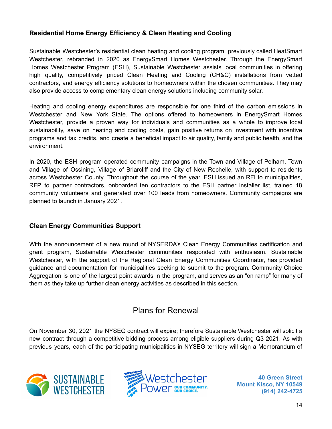#### <span id="page-13-0"></span>**Residential Home Energy Efficiency & Clean Heating and Cooling**

Sustainable Westchester's residential clean heating and cooling program, previously called HeatSmart Westchester, rebranded in 2020 as EnergySmart Homes Westchester. Through the EnergySmart Homes Westchester Program (ESH), Sustainable Westchester assists local communities in offering high quality, competitively priced Clean Heating and Cooling (CH&C) installations from vetted contractors, and energy efficiency solutions to homeowners within the chosen communities. They may also provide access to complementary clean energy solutions including community solar.

Heating and cooling energy expenditures are responsible for one third of the carbon emissions in Westchester and New York State. The options offered to homeowners in EnergySmart Homes Westchester, provide a proven way for individuals and communities as a whole to improve local sustainability, save on heating and cooling costs, gain positive returns on investment with incentive programs and tax credits, and create a beneficial impact to air quality, family and public health, and the environment.

In 2020, the ESH program operated community campaigns in the Town and Village of Pelham, Town and Village of Ossining, Village of Briarcliff and the City of New Rochelle, with support to residents across Westchester County. Throughout the course of the year, ESH issued an RFI to municipalities, RFP to partner contractors, onboarded ten contractors to the ESH partner installer list, trained 18 community volunteers and generated over 100 leads from homeowners. Community campaigns are planned to launch in January 2021.

#### <span id="page-13-1"></span>**Clean Energy Communities Support**

With the announcement of a new round of NYSERDA's Clean Energy Communities certification and grant program, Sustainable Westchester communities responded with enthusiasm. Sustainable Westchester, with the support of the Regional Clean Energy Communities Coordinator, has provided guidance and documentation for municipalities seeking to submit to the program. Community Choice Aggregation is one of the largest point awards in the program, and serves as an "on ramp" for many of them as they take up further clean energy activities as described in this section.

#### Plans for Renewal

<span id="page-13-2"></span>On November 30, 2021 the NYSEG contract will expire; therefore Sustainable Westchester will solicit a new contract through a competitive bidding process among eligible suppliers during Q3 2021. As with previous years, each of the participating municipalities in NYSEG territory will sign a Memorandum of